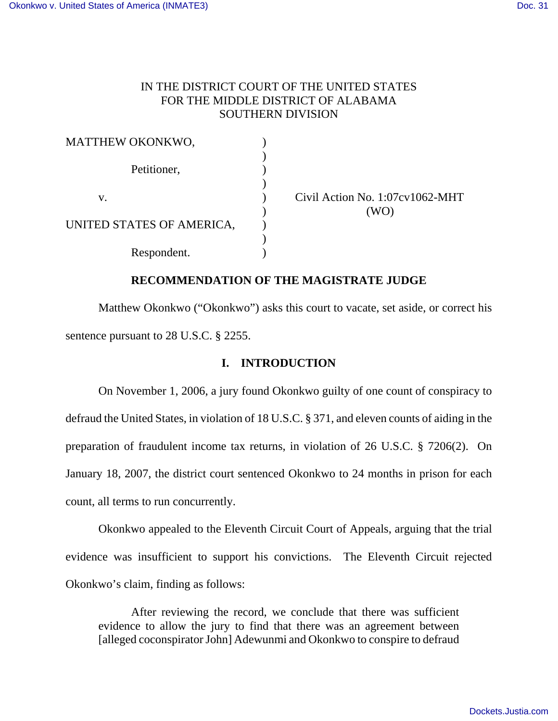# IN THE DISTRICT COURT OF THE UNITED STATES FOR THE MIDDLE DISTRICT OF ALABAMA SOUTHERN DIVISION

| MATTHEW OKONKWO,          |  |
|---------------------------|--|
|                           |  |
| Petitioner,               |  |
|                           |  |
| V.                        |  |
|                           |  |
| UNITED STATES OF AMERICA, |  |
|                           |  |
| Respondent.               |  |

Civil Action No.  $1:07cy1062-MHT$  $(WO)$ 

# **RECOMMENDATION OF THE MAGISTRATE JUDGE**

Matthew Okonkwo ("Okonkwo") asks this court to vacate, set aside, or correct his sentence pursuant to 28 U.S.C. § 2255.

# **I. INTRODUCTION**

On November 1, 2006, a jury found Okonkwo guilty of one count of conspiracy to defraud the United States, in violation of 18 U.S.C. § 371, and eleven counts of aiding in the preparation of fraudulent income tax returns, in violation of 26 U.S.C. § 7206(2). On January 18, 2007, the district court sentenced Okonkwo to 24 months in prison for each count, all terms to run concurrently.

Okonkwo appealed to the Eleventh Circuit Court of Appeals, arguing that the trial evidence was insufficient to support his convictions. The Eleventh Circuit rejected Okonkwo's claim, finding as follows:

After reviewing the record, we conclude that there was sufficient evidence to allow the jury to find that there was an agreement between [alleged coconspirator John] Adewunmi and Okonkwo to conspire to defraud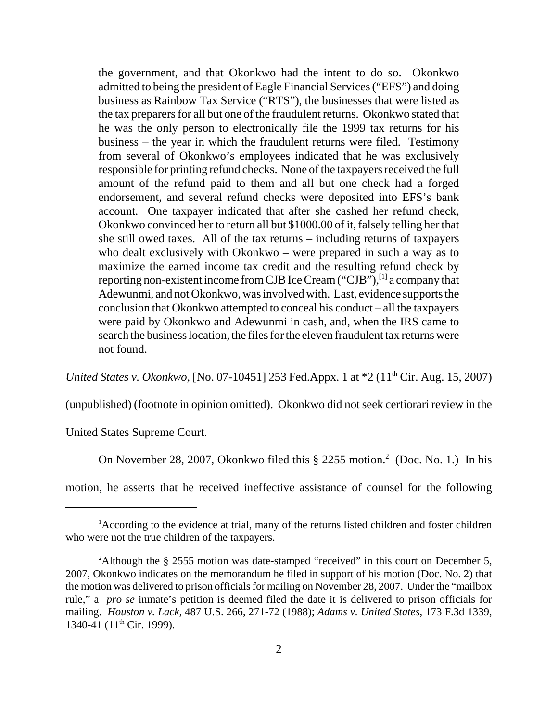the government, and that Okonkwo had the intent to do so. Okonkwo admitted to being the president of Eagle Financial Services ("EFS") and doing business as Rainbow Tax Service ("RTS"), the businesses that were listed as the tax preparers for all but one of the fraudulent returns. Okonkwo stated that he was the only person to electronically file the 1999 tax returns for his business – the year in which the fraudulent returns were filed. Testimony from several of Okonkwo's employees indicated that he was exclusively responsible for printing refund checks. None of the taxpayers received the full amount of the refund paid to them and all but one check had a forged endorsement, and several refund checks were deposited into EFS's bank account. One taxpayer indicated that after she cashed her refund check, Okonkwo convinced her to return all but \$1000.00 of it, falsely telling her that she still owed taxes. All of the tax returns – including returns of taxpayers who dealt exclusively with Okonkwo – were prepared in such a way as to maximize the earned income tax credit and the resulting refund check by reporting non-existent income from CJB Ice Cream ("CJB"), $^{[1]}$  a company that Adewunmi, and not Okonkwo, was involved with. Last, evidence supports the conclusion that Okonkwo attempted to conceal his conduct – all the taxpayers were paid by Okonkwo and Adewunmi in cash, and, when the IRS came to search the business location, the files for the eleven fraudulent tax returns were not found.

*United States v. Okonkwo*, [No. 07-10451] 253 Fed.Appx. 1 at  $*2$  (11<sup>th</sup> Cir. Aug. 15, 2007)

(unpublished) (footnote in opinion omitted). Okonkwo did not seek certiorari review in the

United States Supreme Court.

On November 28, 2007, Okonkwo filed this  $\S$  2255 motion.<sup>2</sup> (Doc. No. 1.) In his

motion, he asserts that he received ineffective assistance of counsel for the following

<sup>&</sup>lt;sup>1</sup>According to the evidence at trial, many of the returns listed children and foster children who were not the true children of the taxpayers.

<sup>&</sup>lt;sup>2</sup>Although the § 2555 motion was date-stamped "received" in this court on December 5, 2007, Okonkwo indicates on the memorandum he filed in support of his motion (Doc. No. 2) that the motion was delivered to prison officials for mailing on November 28, 2007. Under the "mailbox rule," a *pro se* inmate's petition is deemed filed the date it is delivered to prison officials for mailing. *Houston v. Lack,* 487 U.S. 266, 271-72 (1988); *Adams v. United States*, 173 F.3d 1339, 1340-41 ( $11^{th}$  Cir. 1999).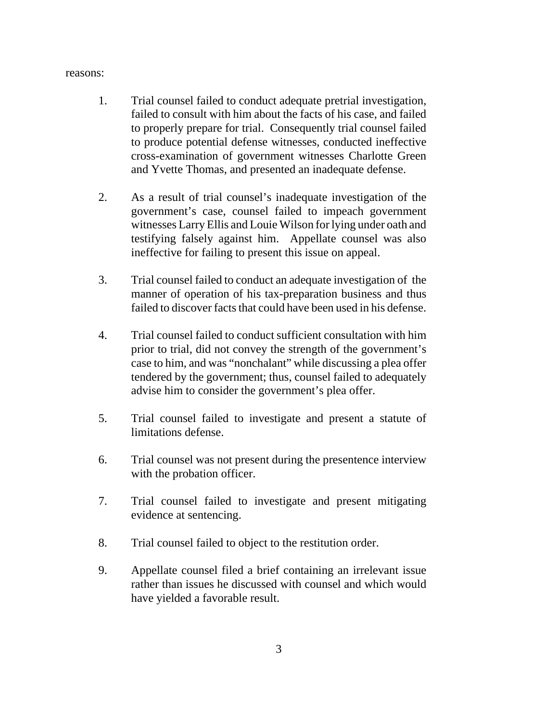#### reasons:

- 1. Trial counsel failed to conduct adequate pretrial investigation, failed to consult with him about the facts of his case, and failed to properly prepare for trial. Consequently trial counsel failed to produce potential defense witnesses, conducted ineffective cross-examination of government witnesses Charlotte Green and Yvette Thomas, and presented an inadequate defense.
- 2. As a result of trial counsel's inadequate investigation of the government's case, counsel failed to impeach government witnesses Larry Ellis and Louie Wilson for lying under oath and testifying falsely against him. Appellate counsel was also ineffective for failing to present this issue on appeal.
- 3. Trial counsel failed to conduct an adequate investigation of the manner of operation of his tax-preparation business and thus failed to discover facts that could have been used in his defense.
- 4. Trial counsel failed to conduct sufficient consultation with him prior to trial, did not convey the strength of the government's case to him, and was "nonchalant" while discussing a plea offer tendered by the government; thus, counsel failed to adequately advise him to consider the government's plea offer.
- 5. Trial counsel failed to investigate and present a statute of limitations defense.
- 6. Trial counsel was not present during the presentence interview with the probation officer.
- 7. Trial counsel failed to investigate and present mitigating evidence at sentencing.
- 8. Trial counsel failed to object to the restitution order.
- 9. Appellate counsel filed a brief containing an irrelevant issue rather than issues he discussed with counsel and which would have yielded a favorable result.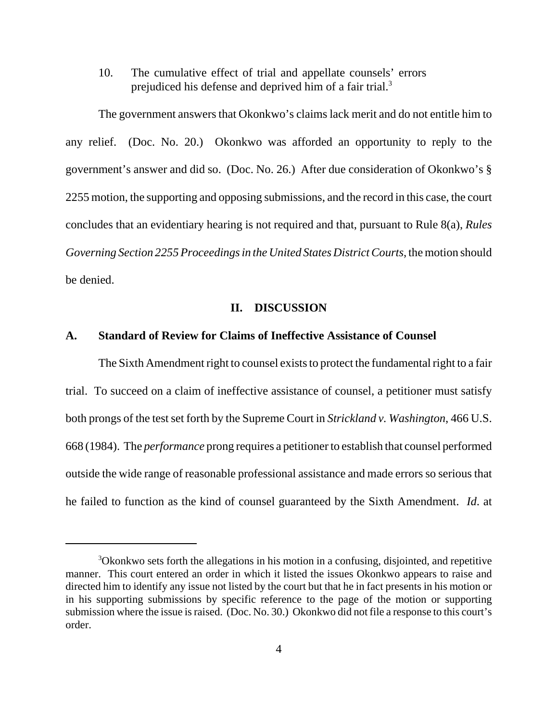10. The cumulative effect of trial and appellate counsels' errors prejudiced his defense and deprived him of a fair trial.<sup>3</sup>

The government answers that Okonkwo's claims lack merit and do not entitle him to any relief. (Doc. No. 20.) Okonkwo was afforded an opportunity to reply to the government's answer and did so. (Doc. No. 26.) After due consideration of Okonkwo's § 2255 motion, the supporting and opposing submissions, and the record in this case, the court concludes that an evidentiary hearing is not required and that, pursuant to Rule 8(a), *Rules Governing Section 2255 Proceedings in the United States District Courts*, the motion should be denied.

### **II. DISCUSSION**

# **A. Standard of Review for Claims of Ineffective Assistance of Counsel**

The Sixth Amendment right to counsel exists to protect the fundamental right to a fair trial. To succeed on a claim of ineffective assistance of counsel, a petitioner must satisfy both prongs of the test set forth by the Supreme Court in *Strickland v. Washington*, 466 U.S. 668 (1984). The *performance* prong requires a petitioner to establish that counsel performed outside the wide range of reasonable professional assistance and made errors so serious that he failed to function as the kind of counsel guaranteed by the Sixth Amendment. *Id*. at

<sup>3</sup>Okonkwo sets forth the allegations in his motion in a confusing, disjointed, and repetitive manner. This court entered an order in which it listed the issues Okonkwo appears to raise and directed him to identify any issue not listed by the court but that he in fact presents in his motion or in his supporting submissions by specific reference to the page of the motion or supporting submission where the issue is raised. (Doc. No. 30.) Okonkwo did not file a response to this court's order.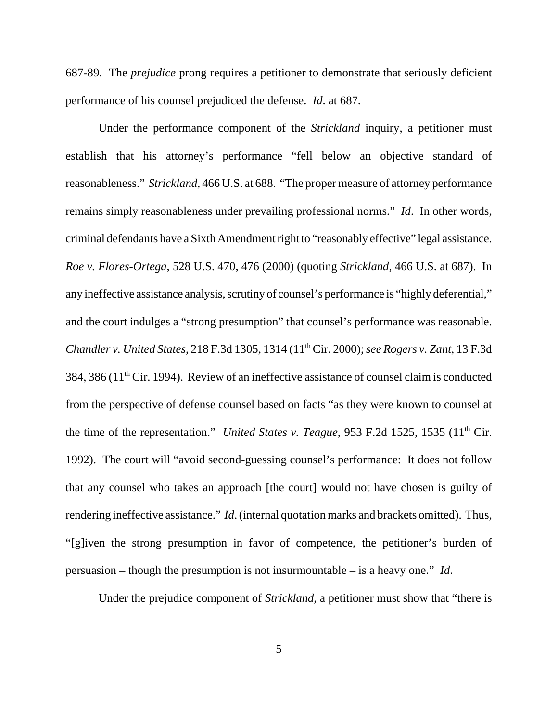687-89. The *prejudice* prong requires a petitioner to demonstrate that seriously deficient performance of his counsel prejudiced the defense. *Id*. at 687.

Under the performance component of the *Strickland* inquiry, a petitioner must establish that his attorney's performance "fell below an objective standard of reasonableness." *Strickland*, 466 U.S. at 688. "The proper measure of attorney performance remains simply reasonableness under prevailing professional norms." *Id*. In other words, criminal defendants have a Sixth Amendment right to "reasonably effective" legal assistance. *Roe v. Flores-Ortega*, 528 U.S. 470, 476 (2000) (quoting *Strickland*, 466 U.S. at 687). In any ineffective assistance analysis, scrutiny of counsel's performance is "highly deferential," and the court indulges a "strong presumption" that counsel's performance was reasonable. *Chandler v. United States*, 218 F.3d 1305, 1314 (11th Cir. 2000); *see Rogers v. Zant*, 13 F.3d  $384, 386$  ( $11<sup>th</sup>$  Cir. 1994). Review of an ineffective assistance of counsel claim is conducted from the perspective of defense counsel based on facts "as they were known to counsel at the time of the representation." *United States v. Teague*, 953 F.2d 1525, 1535 (11<sup>th</sup> Cir. 1992). The court will "avoid second-guessing counsel's performance: It does not follow that any counsel who takes an approach [the court] would not have chosen is guilty of rendering ineffective assistance." *Id*. (internal quotation marks and brackets omitted). Thus, "[g]iven the strong presumption in favor of competence, the petitioner's burden of persuasion – though the presumption is not insurmountable – is a heavy one." *Id*.

Under the prejudice component of *Strickland*, a petitioner must show that "there is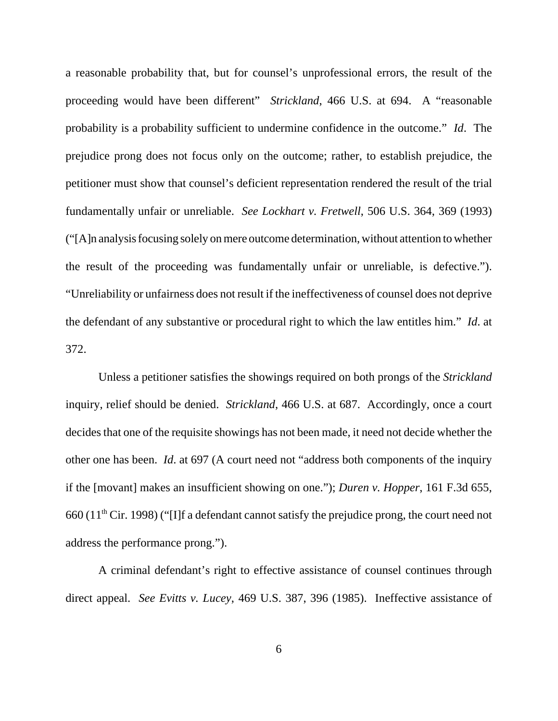a reasonable probability that, but for counsel's unprofessional errors, the result of the proceeding would have been different" *Strickland*, 466 U.S. at 694. A "reasonable probability is a probability sufficient to undermine confidence in the outcome." *Id*. The prejudice prong does not focus only on the outcome; rather, to establish prejudice, the petitioner must show that counsel's deficient representation rendered the result of the trial fundamentally unfair or unreliable. *See Lockhart v. Fretwell*, 506 U.S. 364, 369 (1993) ("[A]n analysis focusing solely on mere outcome determination, without attention to whether the result of the proceeding was fundamentally unfair or unreliable, is defective."). "Unreliability or unfairness does not result if the ineffectiveness of counsel does not deprive the defendant of any substantive or procedural right to which the law entitles him." *Id*. at 372.

Unless a petitioner satisfies the showings required on both prongs of the *Strickland* inquiry, relief should be denied. *Strickland*, 466 U.S. at 687. Accordingly, once a court decides that one of the requisite showings has not been made, it need not decide whether the other one has been. *Id*. at 697 (A court need not "address both components of the inquiry if the [movant] makes an insufficient showing on one."); *Duren v. Hopper*, 161 F.3d 655, 660 (11th Cir. 1998) ("[I]f a defendant cannot satisfy the prejudice prong, the court need not address the performance prong.").

A criminal defendant's right to effective assistance of counsel continues through direct appeal. *See Evitts v. Lucey*, 469 U.S. 387, 396 (1985). Ineffective assistance of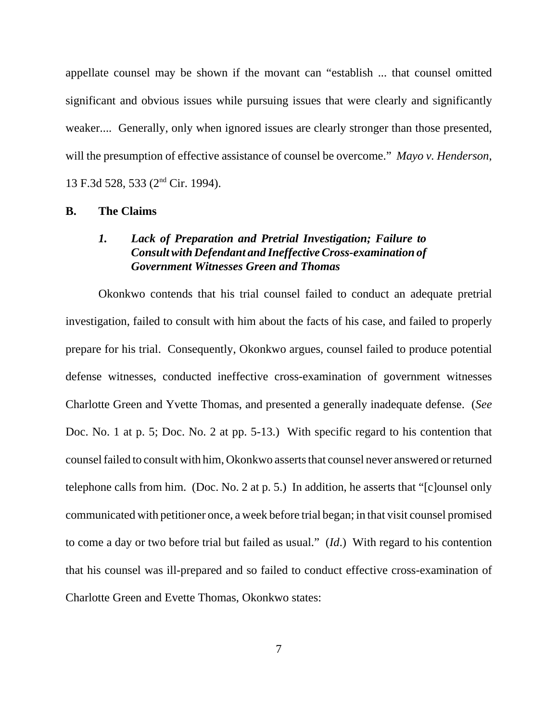appellate counsel may be shown if the movant can "establish ... that counsel omitted significant and obvious issues while pursuing issues that were clearly and significantly weaker.... Generally, only when ignored issues are clearly stronger than those presented, will the presumption of effective assistance of counsel be overcome." *Mayo v. Henderson*, 13 F.3d 528, 533 (2nd Cir. 1994).

## **B. The Claims**

# *1. Lack of Preparation and Pretrial Investigation; Failure to Consult with Defendant and Ineffective Cross-examination of Government Witnesses Green and Thomas*

Okonkwo contends that his trial counsel failed to conduct an adequate pretrial investigation, failed to consult with him about the facts of his case, and failed to properly prepare for his trial. Consequently, Okonkwo argues, counsel failed to produce potential defense witnesses, conducted ineffective cross-examination of government witnesses Charlotte Green and Yvette Thomas, and presented a generally inadequate defense. (*See* Doc. No. 1 at p. 5; Doc. No. 2 at pp. 5-13.) With specific regard to his contention that counsel failed to consult with him, Okonkwo asserts that counsel never answered or returned telephone calls from him. (Doc. No. 2 at p. 5.) In addition, he asserts that "[c]ounsel only communicated with petitioner once, a week before trial began; in that visit counsel promised to come a day or two before trial but failed as usual." (*Id*.) With regard to his contention that his counsel was ill-prepared and so failed to conduct effective cross-examination of Charlotte Green and Evette Thomas, Okonkwo states: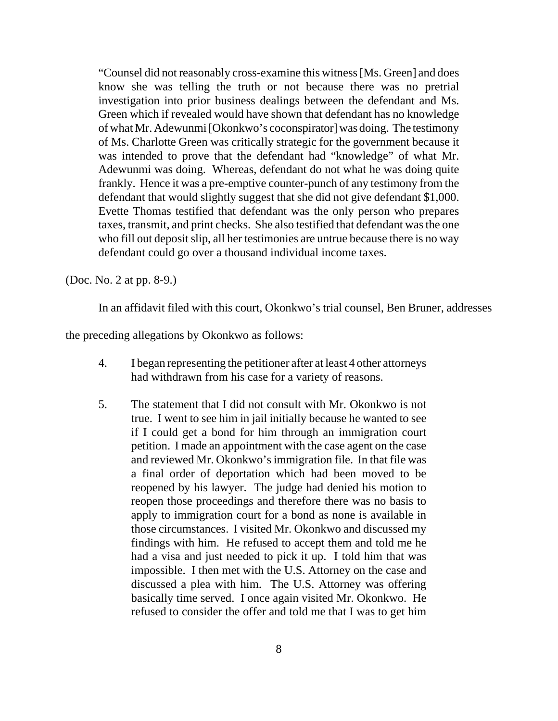"Counsel did not reasonably cross-examine this witness [Ms. Green] and does know she was telling the truth or not because there was no pretrial investigation into prior business dealings between the defendant and Ms. Green which if revealed would have shown that defendant has no knowledge of what Mr. Adewunmi [Okonkwo's coconspirator] was doing. The testimony of Ms. Charlotte Green was critically strategic for the government because it was intended to prove that the defendant had "knowledge" of what Mr. Adewunmi was doing. Whereas, defendant do not what he was doing quite frankly. Hence it was a pre-emptive counter-punch of any testimony from the defendant that would slightly suggest that she did not give defendant \$1,000. Evette Thomas testified that defendant was the only person who prepares taxes, transmit, and print checks. She also testified that defendant was the one who fill out deposit slip, all her testimonies are untrue because there is no way defendant could go over a thousand individual income taxes.

(Doc. No. 2 at pp. 8-9.)

In an affidavit filed with this court, Okonkwo's trial counsel, Ben Bruner, addresses

the preceding allegations by Okonkwo as follows:

- 4. I began representing the petitioner after at least 4 other attorneys had withdrawn from his case for a variety of reasons.
- 5. The statement that I did not consult with Mr. Okonkwo is not true. I went to see him in jail initially because he wanted to see if I could get a bond for him through an immigration court petition. I made an appointment with the case agent on the case and reviewed Mr. Okonkwo's immigration file. In that file was a final order of deportation which had been moved to be reopened by his lawyer. The judge had denied his motion to reopen those proceedings and therefore there was no basis to apply to immigration court for a bond as none is available in those circumstances. I visited Mr. Okonkwo and discussed my findings with him. He refused to accept them and told me he had a visa and just needed to pick it up. I told him that was impossible. I then met with the U.S. Attorney on the case and discussed a plea with him. The U.S. Attorney was offering basically time served. I once again visited Mr. Okonkwo. He refused to consider the offer and told me that I was to get him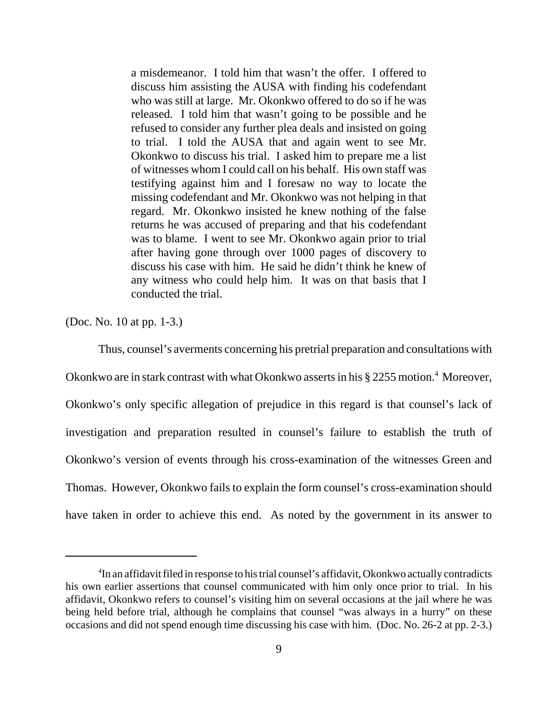a misdemeanor. I told him that wasn't the offer. I offered to discuss him assisting the AUSA with finding his codefendant who was still at large. Mr. Okonkwo offered to do so if he was released. I told him that wasn't going to be possible and he refused to consider any further plea deals and insisted on going to trial. I told the AUSA that and again went to see Mr. Okonkwo to discuss his trial. I asked him to prepare me a list of witnesses whom I could call on his behalf. His own staff was testifying against him and I foresaw no way to locate the missing codefendant and Mr. Okonkwo was not helping in that regard. Mr. Okonkwo insisted he knew nothing of the false returns he was accused of preparing and that his codefendant was to blame. I went to see Mr. Okonkwo again prior to trial after having gone through over 1000 pages of discovery to discuss his case with him. He said he didn't think he knew of any witness who could help him. It was on that basis that I conducted the trial.

(Doc. No. 10 at pp. 1-3.)

Thus, counsel's averments concerning his pretrial preparation and consultations with Okonkwo are in stark contrast with what Okonkwo asserts in his § 2255 motion.<sup>4</sup> Moreover, Okonkwo's only specific allegation of prejudice in this regard is that counsel's lack of investigation and preparation resulted in counsel's failure to establish the truth of Okonkwo's version of events through his cross-examination of the witnesses Green and Thomas. However, Okonkwo fails to explain the form counsel's cross-examination should have taken in order to achieve this end. As noted by the government in its answer to

<sup>&</sup>lt;sup>4</sup>In an affidavit filed in response to his trial counsel's affidavit, Okonkwo actually contradicts his own earlier assertions that counsel communicated with him only once prior to trial. In his affidavit, Okonkwo refers to counsel's visiting him on several occasions at the jail where he was being held before trial, although he complains that counsel "was always in a hurry" on these occasions and did not spend enough time discussing his case with him. (Doc. No. 26-2 at pp. 2-3.)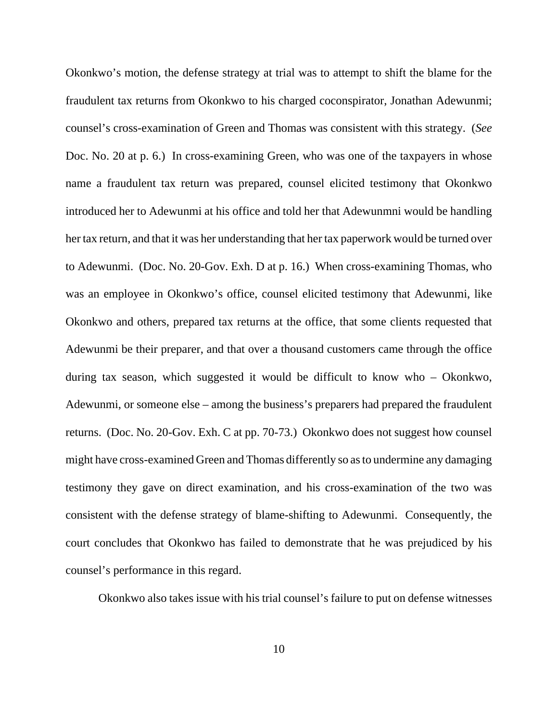Okonkwo's motion, the defense strategy at trial was to attempt to shift the blame for the fraudulent tax returns from Okonkwo to his charged coconspirator, Jonathan Adewunmi; counsel's cross-examination of Green and Thomas was consistent with this strategy. (*See* Doc. No. 20 at p. 6.) In cross-examining Green, who was one of the taxpayers in whose name a fraudulent tax return was prepared, counsel elicited testimony that Okonkwo introduced her to Adewunmi at his office and told her that Adewunmni would be handling her tax return, and that it was her understanding that her tax paperwork would be turned over to Adewunmi. (Doc. No. 20-Gov. Exh. D at p. 16.) When cross-examining Thomas, who was an employee in Okonkwo's office, counsel elicited testimony that Adewunmi, like Okonkwo and others, prepared tax returns at the office, that some clients requested that Adewunmi be their preparer, and that over a thousand customers came through the office during tax season, which suggested it would be difficult to know who – Okonkwo, Adewunmi, or someone else – among the business's preparers had prepared the fraudulent returns. (Doc. No. 20-Gov. Exh. C at pp. 70-73.) Okonkwo does not suggest how counsel might have cross-examined Green and Thomas differently so as to undermine any damaging testimony they gave on direct examination, and his cross-examination of the two was consistent with the defense strategy of blame-shifting to Adewunmi. Consequently, the court concludes that Okonkwo has failed to demonstrate that he was prejudiced by his counsel's performance in this regard.

Okonkwo also takes issue with his trial counsel's failure to put on defense witnesses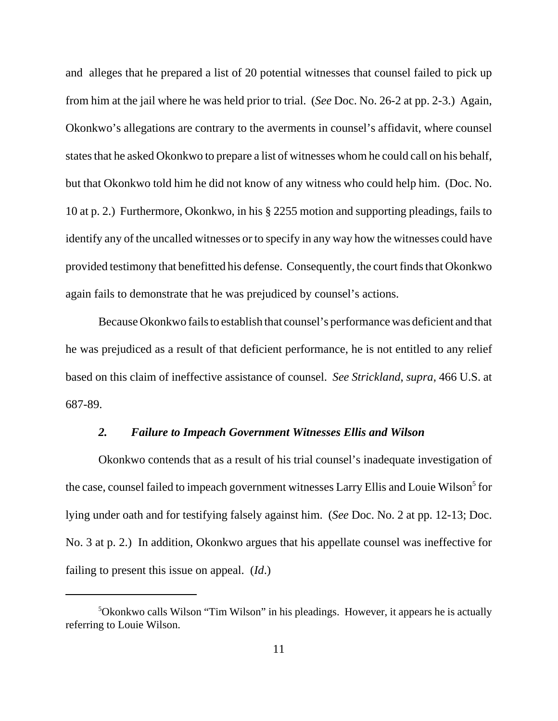and alleges that he prepared a list of 20 potential witnesses that counsel failed to pick up from him at the jail where he was held prior to trial. (*See* Doc. No. 26-2 at pp. 2-3.) Again, Okonkwo's allegations are contrary to the averments in counsel's affidavit, where counsel states that he asked Okonkwo to prepare a list of witnesses whom he could call on his behalf, but that Okonkwo told him he did not know of any witness who could help him. (Doc. No. 10 at p. 2.) Furthermore, Okonkwo, in his § 2255 motion and supporting pleadings, fails to identify any of the uncalled witnesses or to specify in any way how the witnesses could have provided testimony that benefitted his defense. Consequently, the court finds that Okonkwo again fails to demonstrate that he was prejudiced by counsel's actions.

Because Okonkwo fails to establish that counsel's performance was deficient and that he was prejudiced as a result of that deficient performance, he is not entitled to any relief based on this claim of ineffective assistance of counsel. *See Strickland*, *supra*, 466 U.S. at 687-89.

# *2. Failure to Impeach Government Witnesses Ellis and Wilson*

Okonkwo contends that as a result of his trial counsel's inadequate investigation of the case, counsel failed to impeach government witnesses Larry Ellis and Louie Wilson<sup>5</sup> for lying under oath and for testifying falsely against him. (*See* Doc. No. 2 at pp. 12-13; Doc. No. 3 at p. 2.) In addition, Okonkwo argues that his appellate counsel was ineffective for failing to present this issue on appeal. (*Id*.)

<sup>5</sup>Okonkwo calls Wilson "Tim Wilson" in his pleadings. However, it appears he is actually referring to Louie Wilson.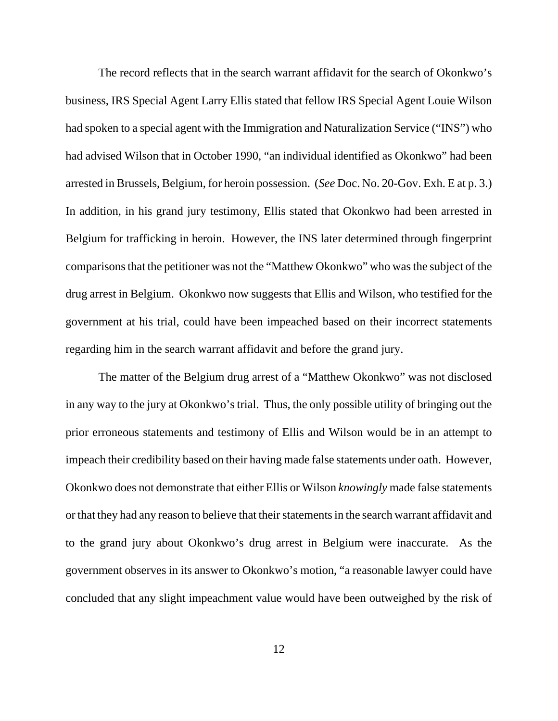The record reflects that in the search warrant affidavit for the search of Okonkwo's business, IRS Special Agent Larry Ellis stated that fellow IRS Special Agent Louie Wilson had spoken to a special agent with the Immigration and Naturalization Service ("INS") who had advised Wilson that in October 1990, "an individual identified as Okonkwo" had been arrested in Brussels, Belgium, for heroin possession. (*See* Doc. No. 20-Gov. Exh. E at p. 3.) In addition, in his grand jury testimony, Ellis stated that Okonkwo had been arrested in Belgium for trafficking in heroin. However, the INS later determined through fingerprint comparisons that the petitioner was not the "Matthew Okonkwo" who was the subject of the drug arrest in Belgium. Okonkwo now suggests that Ellis and Wilson, who testified for the government at his trial, could have been impeached based on their incorrect statements regarding him in the search warrant affidavit and before the grand jury.

The matter of the Belgium drug arrest of a "Matthew Okonkwo" was not disclosed in any way to the jury at Okonkwo's trial. Thus, the only possible utility of bringing out the prior erroneous statements and testimony of Ellis and Wilson would be in an attempt to impeach their credibility based on their having made false statements under oath. However, Okonkwo does not demonstrate that either Ellis or Wilson *knowingly* made false statements or that they had any reason to believe that their statements in the search warrant affidavit and to the grand jury about Okonkwo's drug arrest in Belgium were inaccurate. As the government observes in its answer to Okonkwo's motion, "a reasonable lawyer could have concluded that any slight impeachment value would have been outweighed by the risk of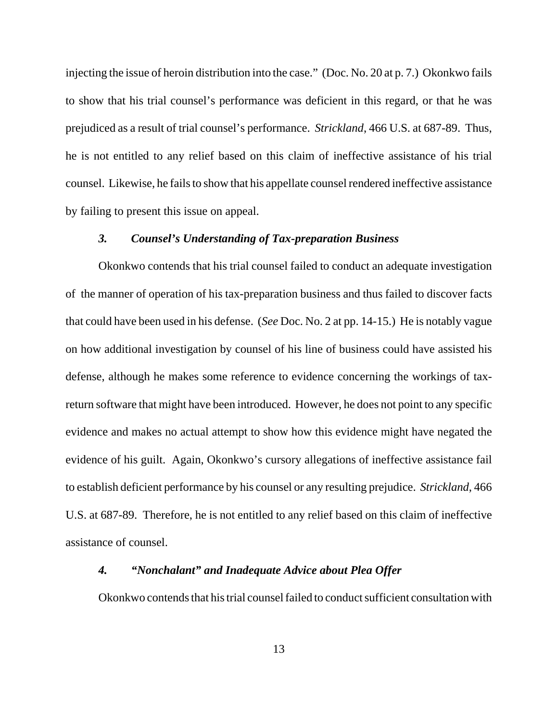injecting the issue of heroin distribution into the case." (Doc. No. 20 at p. 7.) Okonkwo fails to show that his trial counsel's performance was deficient in this regard, or that he was prejudiced as a result of trial counsel's performance. *Strickland*, 466 U.S. at 687-89. Thus, he is not entitled to any relief based on this claim of ineffective assistance of his trial counsel. Likewise, he fails to show that his appellate counsel rendered ineffective assistance by failing to present this issue on appeal.

## *3. Counsel's Understanding of Tax-preparation Business*

Okonkwo contends that his trial counsel failed to conduct an adequate investigation of the manner of operation of his tax-preparation business and thus failed to discover facts that could have been used in his defense. (*See* Doc. No. 2 at pp. 14-15.) He is notably vague on how additional investigation by counsel of his line of business could have assisted his defense, although he makes some reference to evidence concerning the workings of taxreturn software that might have been introduced. However, he does not point to any specific evidence and makes no actual attempt to show how this evidence might have negated the evidence of his guilt. Again, Okonkwo's cursory allegations of ineffective assistance fail to establish deficient performance by his counsel or any resulting prejudice. *Strickland*, 466 U.S. at 687-89. Therefore, he is not entitled to any relief based on this claim of ineffective assistance of counsel.

## *4. "Nonchalant" and Inadequate Advice about Plea Offer*

Okonkwo contends that his trial counsel failed to conduct sufficient consultation with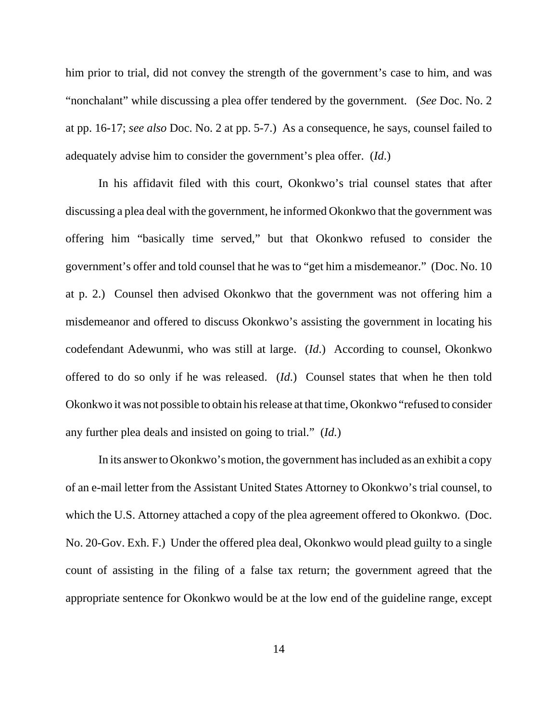him prior to trial, did not convey the strength of the government's case to him, and was "nonchalant" while discussing a plea offer tendered by the government. (*See* Doc. No. 2 at pp. 16-17; *see also* Doc. No. 2 at pp. 5-7.) As a consequence, he says, counsel failed to adequately advise him to consider the government's plea offer. (*Id*.)

In his affidavit filed with this court, Okonkwo's trial counsel states that after discussing a plea deal with the government, he informed Okonkwo that the government was offering him "basically time served," but that Okonkwo refused to consider the government's offer and told counsel that he was to "get him a misdemeanor." (Doc. No. 10 at p. 2.) Counsel then advised Okonkwo that the government was not offering him a misdemeanor and offered to discuss Okonkwo's assisting the government in locating his codefendant Adewunmi, who was still at large. (*Id*.) According to counsel, Okonkwo offered to do so only if he was released. (*Id*.) Counsel states that when he then told Okonkwo it was not possible to obtain his release at that time, Okonkwo "refused to consider any further plea deals and insisted on going to trial." (*Id.*)

In its answer to Okonkwo's motion, the government has included as an exhibit a copy of an e-mail letter from the Assistant United States Attorney to Okonkwo's trial counsel, to which the U.S. Attorney attached a copy of the plea agreement offered to Okonkwo. (Doc. No. 20-Gov. Exh. F.) Under the offered plea deal, Okonkwo would plead guilty to a single count of assisting in the filing of a false tax return; the government agreed that the appropriate sentence for Okonkwo would be at the low end of the guideline range, except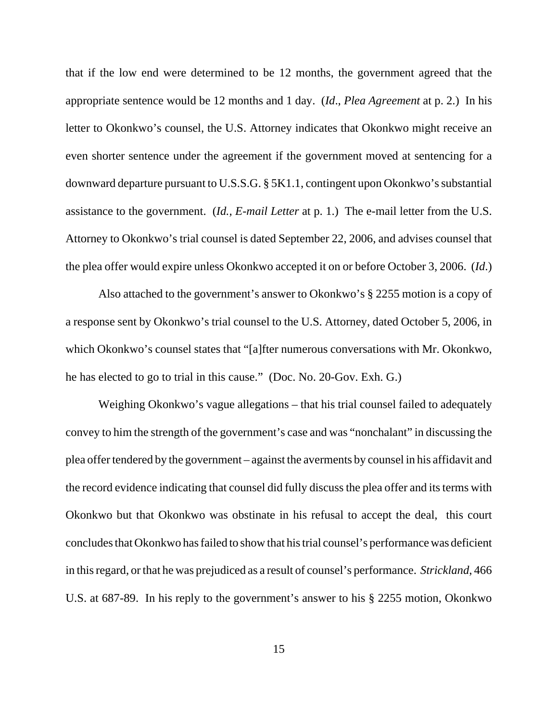that if the low end were determined to be 12 months, the government agreed that the appropriate sentence would be 12 months and 1 day. (*Id*., *Plea Agreement* at p. 2.) In his letter to Okonkwo's counsel, the U.S. Attorney indicates that Okonkwo might receive an even shorter sentence under the agreement if the government moved at sentencing for a downward departure pursuant to U.S.S.G. § 5K1.1, contingent upon Okonkwo's substantial assistance to the government. (*Id., E-mail Letter* at p. 1.) The e-mail letter from the U.S. Attorney to Okonkwo's trial counsel is dated September 22, 2006, and advises counsel that the plea offer would expire unless Okonkwo accepted it on or before October 3, 2006. (*Id*.)

Also attached to the government's answer to Okonkwo's § 2255 motion is a copy of a response sent by Okonkwo's trial counsel to the U.S. Attorney, dated October 5, 2006, in which Okonkwo's counsel states that "[a]fter numerous conversations with Mr. Okonkwo, he has elected to go to trial in this cause." (Doc. No. 20-Gov. Exh. G.)

Weighing Okonkwo's vague allegations – that his trial counsel failed to adequately convey to him the strength of the government's case and was "nonchalant" in discussing the plea offer tendered by the government – against the averments by counsel in his affidavit and the record evidence indicating that counsel did fully discuss the plea offer and its terms with Okonkwo but that Okonkwo was obstinate in his refusal to accept the deal, this court concludes that Okonkwo has failed to show that his trial counsel's performance was deficient in this regard, or that he was prejudiced as a result of counsel's performance. *Strickland*, 466 U.S. at 687-89. In his reply to the government's answer to his § 2255 motion, Okonkwo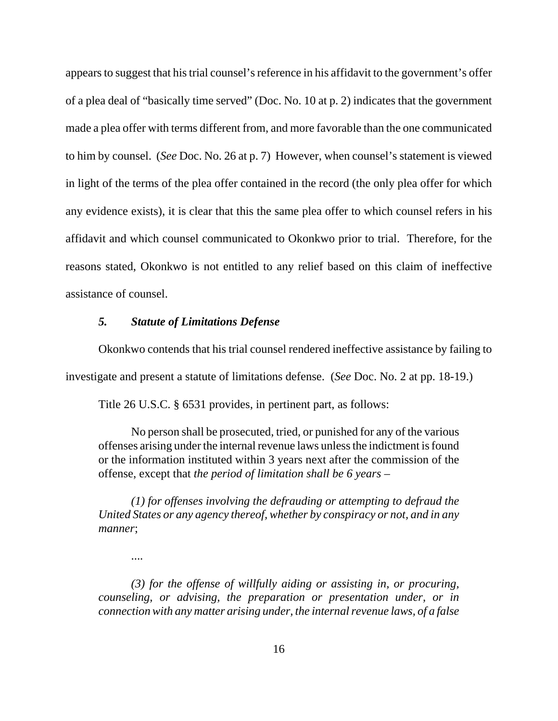appears to suggest that his trial counsel's reference in his affidavit to the government's offer of a plea deal of "basically time served" (Doc. No. 10 at p. 2) indicates that the government made a plea offer with terms different from, and more favorable than the one communicated to him by counsel. (*See* Doc. No. 26 at p. 7) However, when counsel's statement is viewed in light of the terms of the plea offer contained in the record (the only plea offer for which any evidence exists), it is clear that this the same plea offer to which counsel refers in his affidavit and which counsel communicated to Okonkwo prior to trial. Therefore, for the reasons stated, Okonkwo is not entitled to any relief based on this claim of ineffective assistance of counsel.

# *5. Statute of Limitations Defense*

Okonkwo contends that his trial counsel rendered ineffective assistance by failing to investigate and present a statute of limitations defense. (*See* Doc. No. 2 at pp. 18-19.)

Title 26 U.S.C. § 6531 provides, in pertinent part, as follows:

No person shall be prosecuted, tried, or punished for any of the various offenses arising under the internal revenue laws unless the indictment is found or the information instituted within 3 years next after the commission of the offense, except that *the period of limitation shall be 6 years –*

*(1) for offenses involving the defrauding or attempting to defraud the United States or any agency thereof, whether by conspiracy or not, and in any manner*;

....

*(3) for the offense of willfully aiding or assisting in, or procuring, counseling, or advising, the preparation or presentation under, or in connection with any matter arising under, the internal revenue laws, of a false*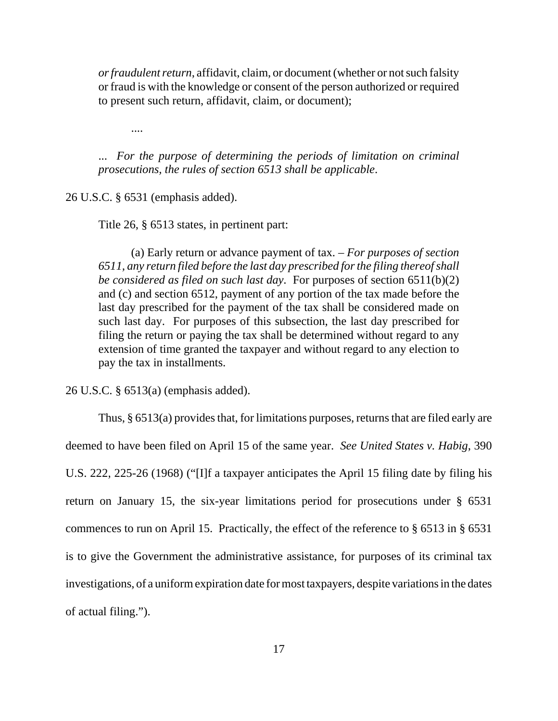*or fraudulent return*, affidavit, claim, or document (whether or not such falsity or fraud is with the knowledge or consent of the person authorized or required to present such return, affidavit, claim, or document);

....

... *For the purpose of determining the periods of limitation on criminal prosecutions, the rules of section 6513 shall be applicable*.

26 U.S.C. § 6531 (emphasis added).

Title 26, § 6513 states, in pertinent part:

(a) Early return or advance payment of tax. – *For purposes of section 6511, any return filed before the last day prescribed for the filing thereof shall be considered as filed on such last day*. For purposes of section 6511(b)(2) and (c) and section 6512, payment of any portion of the tax made before the last day prescribed for the payment of the tax shall be considered made on such last day. For purposes of this subsection, the last day prescribed for filing the return or paying the tax shall be determined without regard to any extension of time granted the taxpayer and without regard to any election to pay the tax in installments.

26 U.S.C. § 6513(a) (emphasis added).

Thus, § 6513(a) provides that, for limitations purposes, returns that are filed early are deemed to have been filed on April 15 of the same year. *See United States v. Habig*, 390 U.S. 222, 225-26 (1968) ("[I]f a taxpayer anticipates the April 15 filing date by filing his return on January 15, the six-year limitations period for prosecutions under § 6531 commences to run on April 15. Practically, the effect of the reference to § 6513 in § 6531 is to give the Government the administrative assistance, for purposes of its criminal tax investigations, of a uniform expiration date for most taxpayers, despite variations in the dates of actual filing.").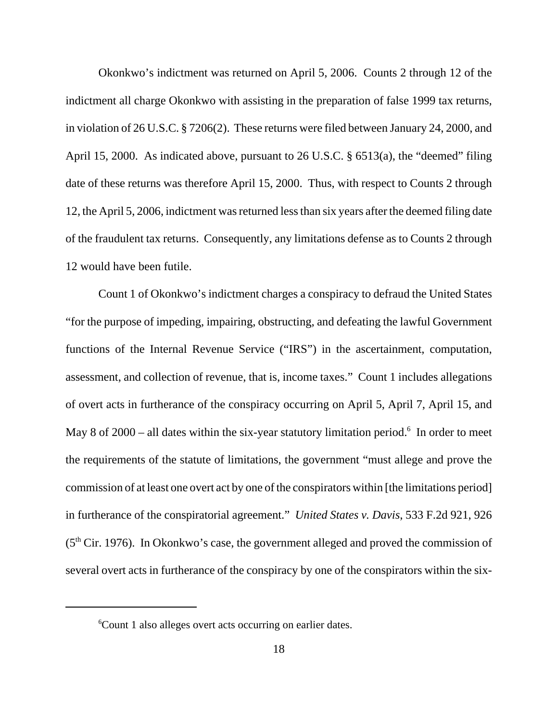Okonkwo's indictment was returned on April 5, 2006. Counts 2 through 12 of the indictment all charge Okonkwo with assisting in the preparation of false 1999 tax returns, in violation of 26 U.S.C. § 7206(2). These returns were filed between January 24, 2000, and April 15, 2000. As indicated above, pursuant to 26 U.S.C. § 6513(a), the "deemed" filing date of these returns was therefore April 15, 2000. Thus, with respect to Counts 2 through 12, the April 5, 2006, indictment was returned less than six years after the deemed filing date of the fraudulent tax returns. Consequently, any limitations defense as to Counts 2 through 12 would have been futile.

Count 1 of Okonkwo's indictment charges a conspiracy to defraud the United States "for the purpose of impeding, impairing, obstructing, and defeating the lawful Government functions of the Internal Revenue Service ("IRS") in the ascertainment, computation, assessment, and collection of revenue, that is, income taxes." Count 1 includes allegations of overt acts in furtherance of the conspiracy occurring on April 5, April 7, April 15, and May 8 of  $2000 -$  all dates within the six-year statutory limitation period.<sup>6</sup> In order to meet the requirements of the statute of limitations, the government "must allege and prove the commission of at least one overt act by one of the conspirators within [the limitations period] in furtherance of the conspiratorial agreement." *United States v. Davis*, 533 F.2d 921, 926  $(5<sup>th</sup> Cir. 1976)$ . In Okonkwo's case, the government alleged and proved the commission of several overt acts in furtherance of the conspiracy by one of the conspirators within the six-

<sup>&</sup>lt;sup>6</sup>Count 1 also alleges overt acts occurring on earlier dates.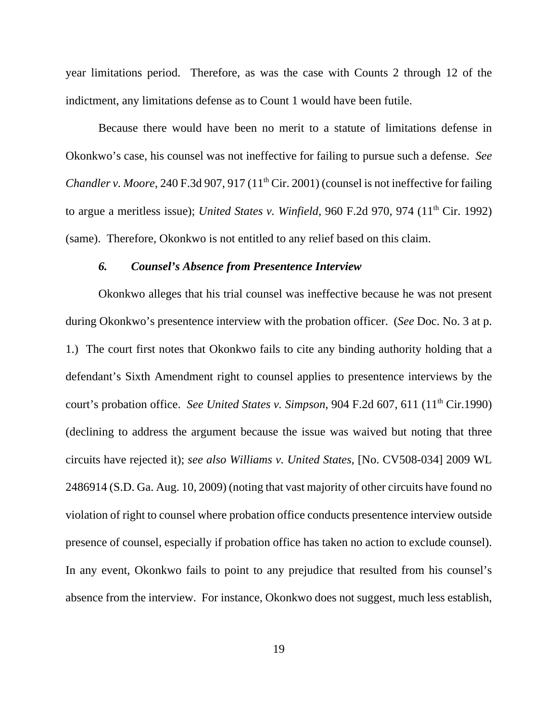year limitations period. Therefore, as was the case with Counts 2 through 12 of the indictment, any limitations defense as to Count 1 would have been futile.

Because there would have been no merit to a statute of limitations defense in Okonkwo's case, his counsel was not ineffective for failing to pursue such a defense. *See Chandler v. Moore*, 240 F.3d 907, 917 (11<sup>th</sup> Cir. 2001) (counsel is not ineffective for failing to argue a meritless issue); *United States v. Winfield*, 960 F.2d 970, 974 (11<sup>th</sup> Cir. 1992) (same). Therefore, Okonkwo is not entitled to any relief based on this claim.

### *6. Counsel's Absence from Presentence Interview*

Okonkwo alleges that his trial counsel was ineffective because he was not present during Okonkwo's presentence interview with the probation officer. (*See* Doc. No. 3 at p. 1.) The court first notes that Okonkwo fails to cite any binding authority holding that a defendant's Sixth Amendment right to counsel applies to presentence interviews by the court's probation office. *See United States v. Simpson*, 904 F.2d 607, 611 (11<sup>th</sup> Cir.1990) (declining to address the argument because the issue was waived but noting that three circuits have rejected it); *see also Williams v. United States*, [No. CV508-034] 2009 WL 2486914 (S.D. Ga. Aug. 10, 2009) (noting that vast majority of other circuits have found no violation of right to counsel where probation office conducts presentence interview outside presence of counsel, especially if probation office has taken no action to exclude counsel). In any event, Okonkwo fails to point to any prejudice that resulted from his counsel's absence from the interview. For instance, Okonkwo does not suggest, much less establish,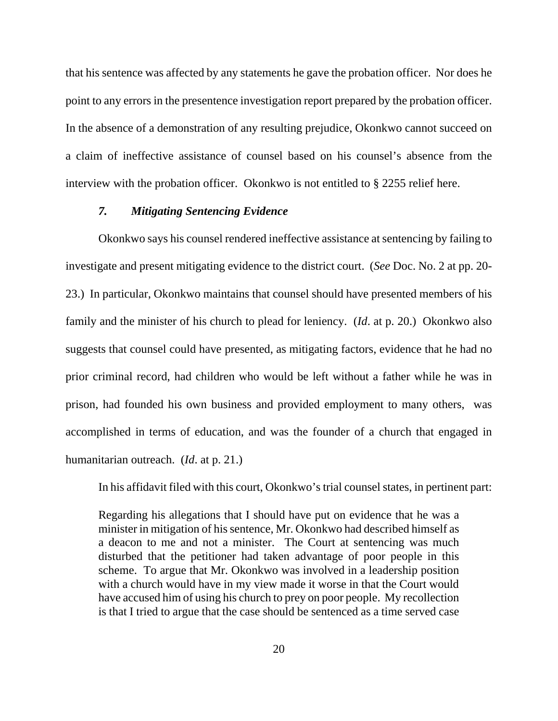that his sentence was affected by any statements he gave the probation officer. Nor does he point to any errors in the presentence investigation report prepared by the probation officer. In the absence of a demonstration of any resulting prejudice, Okonkwo cannot succeed on a claim of ineffective assistance of counsel based on his counsel's absence from the interview with the probation officer. Okonkwo is not entitled to § 2255 relief here.

## *7. Mitigating Sentencing Evidence*

Okonkwo says his counsel rendered ineffective assistance at sentencing by failing to investigate and present mitigating evidence to the district court. (*See* Doc. No. 2 at pp. 20- 23.) In particular, Okonkwo maintains that counsel should have presented members of his family and the minister of his church to plead for leniency. (*Id*. at p. 20.) Okonkwo also suggests that counsel could have presented, as mitigating factors, evidence that he had no prior criminal record, had children who would be left without a father while he was in prison, had founded his own business and provided employment to many others, was accomplished in terms of education, and was the founder of a church that engaged in humanitarian outreach. (*Id*. at p. 21.)

In his affidavit filed with this court, Okonkwo's trial counsel states, in pertinent part:

Regarding his allegations that I should have put on evidence that he was a minister in mitigation of his sentence, Mr. Okonkwo had described himself as a deacon to me and not a minister. The Court at sentencing was much disturbed that the petitioner had taken advantage of poor people in this scheme. To argue that Mr. Okonkwo was involved in a leadership position with a church would have in my view made it worse in that the Court would have accused him of using his church to prey on poor people. My recollection is that I tried to argue that the case should be sentenced as a time served case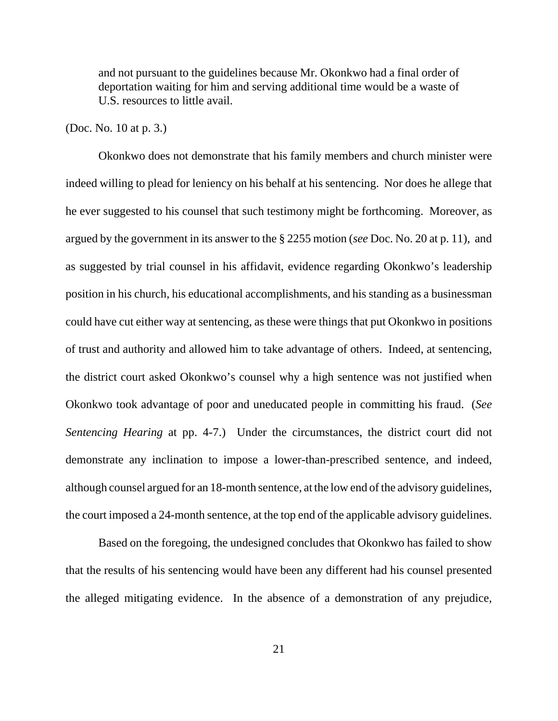and not pursuant to the guidelines because Mr. Okonkwo had a final order of deportation waiting for him and serving additional time would be a waste of U.S. resources to little avail.

#### (Doc. No. 10 at p. 3.)

Okonkwo does not demonstrate that his family members and church minister were indeed willing to plead for leniency on his behalf at his sentencing. Nor does he allege that he ever suggested to his counsel that such testimony might be forthcoming. Moreover, as argued by the government in its answer to the § 2255 motion (*see* Doc. No. 20 at p. 11), and as suggested by trial counsel in his affidavit, evidence regarding Okonkwo's leadership position in his church, his educational accomplishments, and his standing as a businessman could have cut either way at sentencing, as these were things that put Okonkwo in positions of trust and authority and allowed him to take advantage of others. Indeed, at sentencing, the district court asked Okonkwo's counsel why a high sentence was not justified when Okonkwo took advantage of poor and uneducated people in committing his fraud. (*See Sentencing Hearing* at pp. 4-7.) Under the circumstances, the district court did not demonstrate any inclination to impose a lower-than-prescribed sentence, and indeed, although counsel argued for an 18-month sentence, at the low end of the advisory guidelines, the court imposed a 24-month sentence, at the top end of the applicable advisory guidelines.

Based on the foregoing, the undesigned concludes that Okonkwo has failed to show that the results of his sentencing would have been any different had his counsel presented the alleged mitigating evidence. In the absence of a demonstration of any prejudice,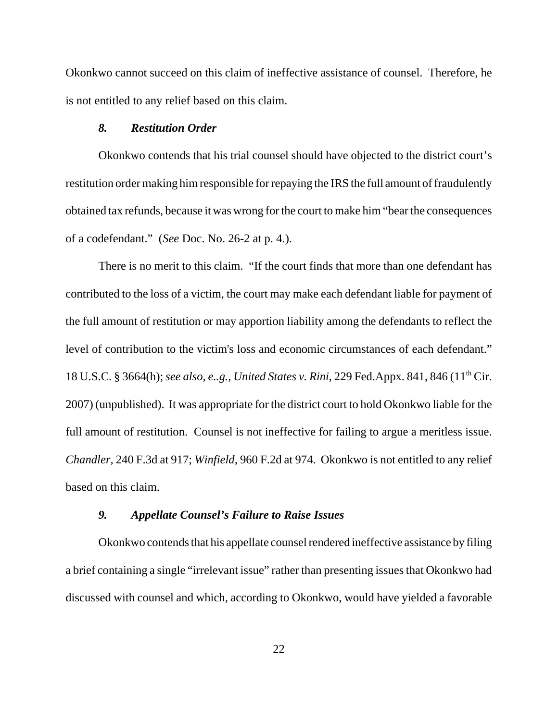Okonkwo cannot succeed on this claim of ineffective assistance of counsel. Therefore, he is not entitled to any relief based on this claim.

#### *8. Restitution Order*

Okonkwo contends that his trial counsel should have objected to the district court's restitution order making him responsible for repaying the IRS the full amount of fraudulently obtained tax refunds, because it was wrong for the court to make him "bear the consequences of a codefendant." (*See* Doc. No. 26-2 at p. 4.).

There is no merit to this claim. "If the court finds that more than one defendant has contributed to the loss of a victim, the court may make each defendant liable for payment of the full amount of restitution or may apportion liability among the defendants to reflect the level of contribution to the victim's loss and economic circumstances of each defendant." 18 U.S.C. § 3664(h); *see also, e..g., United States v. Rini*, 229 Fed.Appx. 841, 846 (11th Cir. 2007) (unpublished). It was appropriate for the district court to hold Okonkwo liable for the full amount of restitution. Counsel is not ineffective for failing to argue a meritless issue. *Chandler*, 240 F.3d at 917; *Winfield*, 960 F.2d at 974. Okonkwo is not entitled to any relief based on this claim.

## *9. Appellate Counsel's Failure to Raise Issues*

Okonkwo contends that his appellate counsel rendered ineffective assistance by filing a brief containing a single "irrelevant issue" rather than presenting issues that Okonkwo had discussed with counsel and which, according to Okonkwo, would have yielded a favorable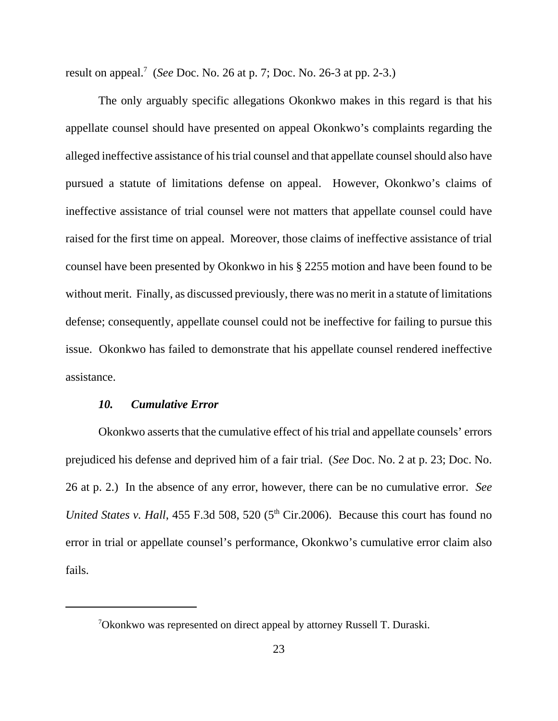result on appeal.<sup>7</sup> (*See* Doc. No. 26 at p. 7; Doc. No. 26-3 at pp. 2-3.)

The only arguably specific allegations Okonkwo makes in this regard is that his appellate counsel should have presented on appeal Okonkwo's complaints regarding the alleged ineffective assistance of his trial counsel and that appellate counsel should also have pursued a statute of limitations defense on appeal. However, Okonkwo's claims of ineffective assistance of trial counsel were not matters that appellate counsel could have raised for the first time on appeal. Moreover, those claims of ineffective assistance of trial counsel have been presented by Okonkwo in his § 2255 motion and have been found to be without merit. Finally, as discussed previously, there was no merit in a statute of limitations defense; consequently, appellate counsel could not be ineffective for failing to pursue this issue. Okonkwo has failed to demonstrate that his appellate counsel rendered ineffective assistance.

#### *10. Cumulative Error*

Okonkwo asserts that the cumulative effect of his trial and appellate counsels' errors prejudiced his defense and deprived him of a fair trial. (*See* Doc. No. 2 at p. 23; Doc. No. 26 at p. 2.) In the absence of any error, however, there can be no cumulative error. *See United States v. Hall*, 455 F.3d 508, 520 (5<sup>th</sup> Cir.2006). Because this court has found no error in trial or appellate counsel's performance, Okonkwo's cumulative error claim also fails.

 $7$ Okonkwo was represented on direct appeal by attorney Russell T. Duraski.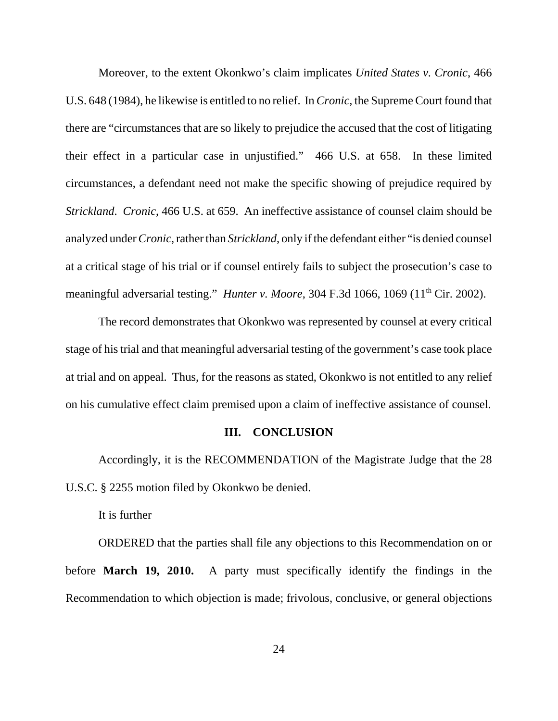Moreover, to the extent Okonkwo's claim implicates *United States v. Cronic*, 466 U.S. 648 (1984), he likewise is entitled to no relief. In *Cronic*, the Supreme Court found that there are "circumstances that are so likely to prejudice the accused that the cost of litigating their effect in a particular case in unjustified." 466 U.S. at 658. In these limited circumstances, a defendant need not make the specific showing of prejudice required by *Strickland*. *Cronic*, 466 U.S. at 659. An ineffective assistance of counsel claim should be analyzed under *Cronic*, rather than *Strickland*, only if the defendant either "is denied counsel at a critical stage of his trial or if counsel entirely fails to subject the prosecution's case to meaningful adversarial testing." *Hunter v. Moore*, 304 F.3d 1066, 1069 (11<sup>th</sup> Cir. 2002).

The record demonstrates that Okonkwo was represented by counsel at every critical stage of his trial and that meaningful adversarial testing of the government's case took place at trial and on appeal. Thus, for the reasons as stated, Okonkwo is not entitled to any relief on his cumulative effect claim premised upon a claim of ineffective assistance of counsel.

## **III. CONCLUSION**

Accordingly, it is the RECOMMENDATION of the Magistrate Judge that the 28 U.S.C. § 2255 motion filed by Okonkwo be denied.

It is further

ORDERED that the parties shall file any objections to this Recommendation on or before **March 19, 2010.** A party must specifically identify the findings in the Recommendation to which objection is made; frivolous, conclusive, or general objections